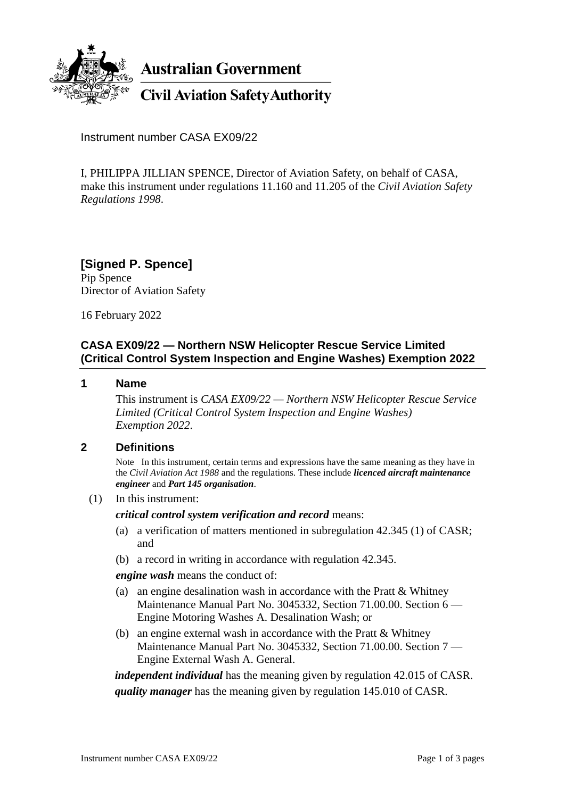

**Australian Government** 

**Civil Aviation Safety Authority** 

Instrument number CASA EX09/22

I, PHILIPPA JILLIAN SPENCE, Director of Aviation Safety, on behalf of CASA, make this instrument under regulations 11.160 and 11.205 of the *Civil Aviation Safety Regulations 1998*.

**[Signed P. Spence]** Pip Spence Director of Aviation Safety

16 February 2022

# **CASA EX09/22 — Northern NSW Helicopter Rescue Service Limited (Critical Control System Inspection and Engine Washes) Exemption 2022**

#### **1 Name**

This instrument is *CASA EX09/22 — Northern NSW Helicopter Rescue Service Limited (Critical Control System Inspection and Engine Washes) Exemption 2022*.

### **2 Definitions**

Note In this instrument, certain terms and expressions have the same meaning as they have in the *Civil Aviation Act 1988* and the regulations. These include *licenced aircraft maintenance engineer* and *Part 145 organisation*.

(1) In this instrument:

*critical control system verification and record* means:

- (a) a verification of matters mentioned in subregulation 42.345 (1) of CASR; and
- (b) a record in writing in accordance with regulation 42.345.

*engine wash* means the conduct of:

- (a) an engine desalination wash in accordance with the Pratt & Whitney Maintenance Manual Part No. 3045332, Section 71.00.00. Section 6 — Engine Motoring Washes A. Desalination Wash; or
- (b) an engine external wash in accordance with the Pratt & Whitney Maintenance Manual Part No. 3045332, Section 71.00.00. Section 7 — Engine External Wash A. General.

*independent individual* has the meaning given by regulation 42.015 of CASR. *quality manager* has the meaning given by regulation 145.010 of CASR.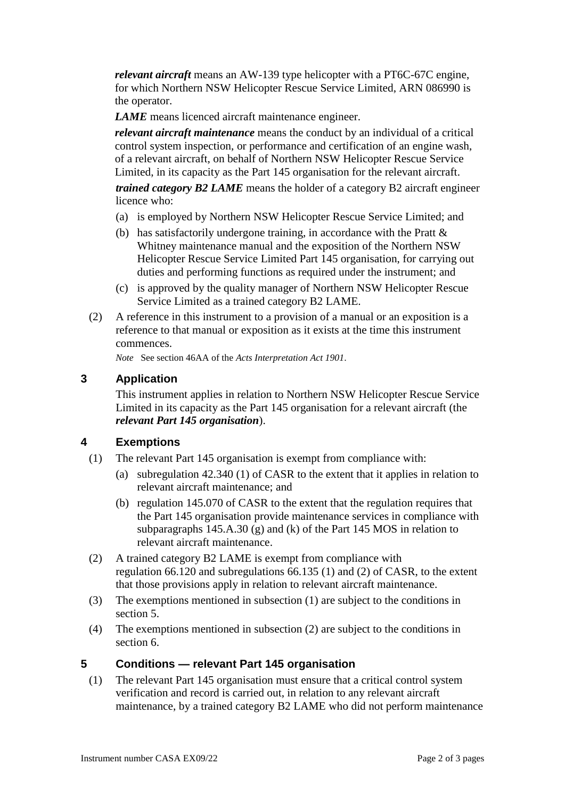*relevant aircraft* means an AW-139 type helicopter with a PT6C-67C engine, for which Northern NSW Helicopter Rescue Service Limited, ARN 086990 is the operator.

*LAME* means licenced aircraft maintenance engineer.

*relevant aircraft maintenance* means the conduct by an individual of a critical control system inspection, or performance and certification of an engine wash, of a relevant aircraft, on behalf of Northern NSW Helicopter Rescue Service Limited, in its capacity as the Part 145 organisation for the relevant aircraft.

*trained category B2 LAME* means the holder of a category B2 aircraft engineer licence who:

- (a) is employed by Northern NSW Helicopter Rescue Service Limited; and
- (b) has satisfactorily undergone training, in accordance with the Pratt & Whitney maintenance manual and the exposition of the Northern NSW Helicopter Rescue Service Limited Part 145 organisation, for carrying out duties and performing functions as required under the instrument; and
- (c) is approved by the quality manager of Northern NSW Helicopter Rescue Service Limited as a trained category B2 LAME.
- (2) A reference in this instrument to a provision of a manual or an exposition is a reference to that manual or exposition as it exists at the time this instrument commences.

*Note* See section 46AA of the *Acts Interpretation Act 1901*.

## **3 Application**

This instrument applies in relation to Northern NSW Helicopter Rescue Service Limited in its capacity as the Part 145 organisation for a relevant aircraft (the *relevant Part 145 organisation*).

### **4 Exemptions**

- (1) The relevant Part 145 organisation is exempt from compliance with:
	- (a) subregulation 42.340 (1) of CASR to the extent that it applies in relation to relevant aircraft maintenance; and
	- (b) regulation 145.070 of CASR to the extent that the regulation requires that the Part 145 organisation provide maintenance services in compliance with subparagraphs 145.A.30 (g) and (k) of the Part 145 MOS in relation to relevant aircraft maintenance.
- (2) A trained category B2 LAME is exempt from compliance with regulation 66.120 and subregulations 66.135 (1) and (2) of CASR, to the extent that those provisions apply in relation to relevant aircraft maintenance.
- (3) The exemptions mentioned in subsection (1) are subject to the conditions in section 5.
- (4) The exemptions mentioned in subsection (2) are subject to the conditions in section 6.

### **5 Conditions — relevant Part 145 organisation**

(1) The relevant Part 145 organisation must ensure that a critical control system verification and record is carried out, in relation to any relevant aircraft maintenance, by a trained category B2 LAME who did not perform maintenance